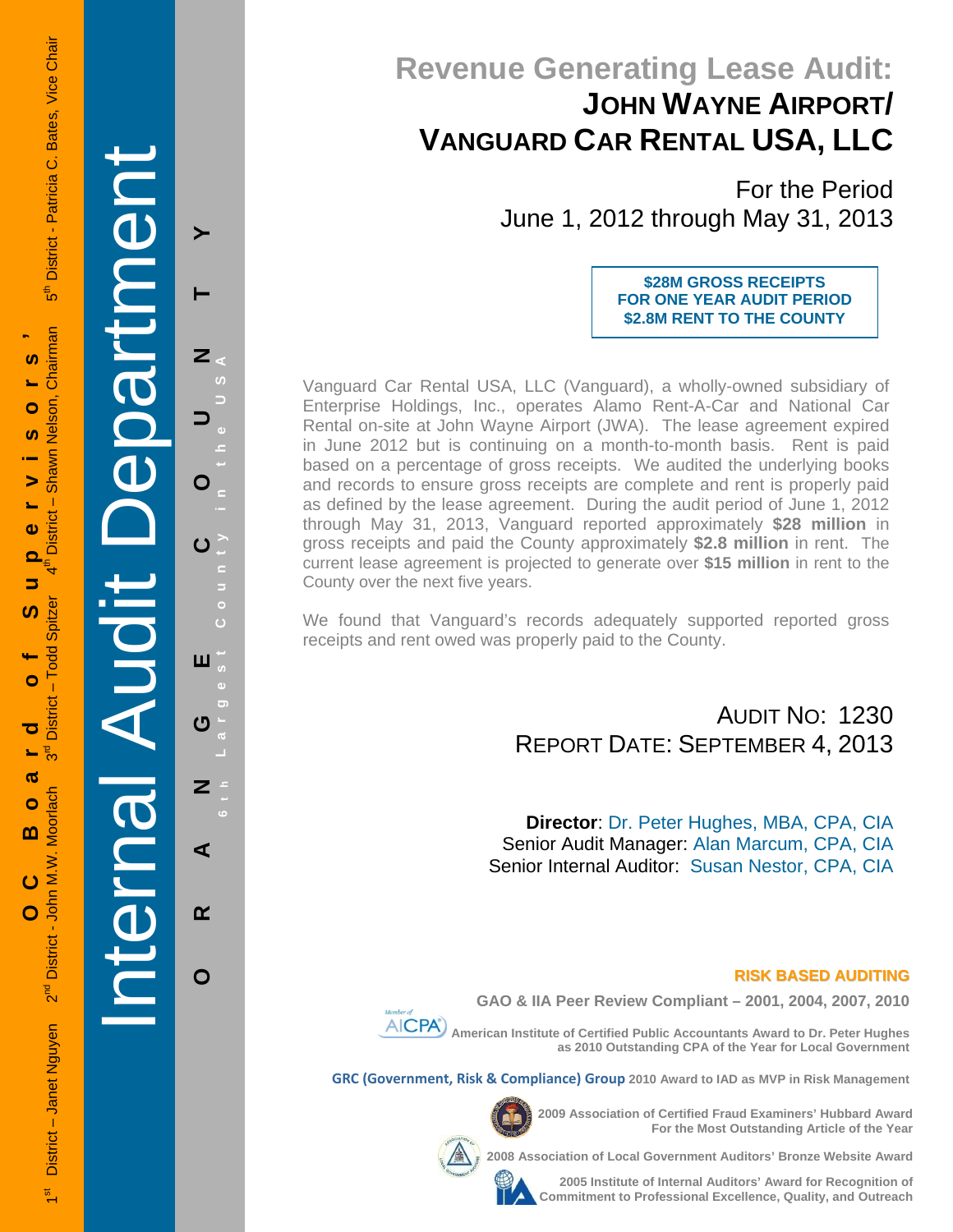# **Revenue Generating Lease Audit: JOHN WAYNE AIRPORT/ VANGUARD CAR RENTAL USA, LLC**

For the Period June 1, 2012 through May 31, 2013

> **\$28M GROSS RECEIPTS FOR ONE YEAR AUDIT PERIOD \$2.8M RENT TO THE COUNTY**

Vanguard Car Rental USA, LLC (Vanguard), a wholly-owned subsidiary of Enterprise Holdings, Inc., operates Alamo Rent-A-Car and National Car Rental on-site at John Wayne Airport (JWA). The lease agreement expired in June 2012 but is continuing on a month-to-month basis. Rent is paid based on a percentage of gross receipts. We audited the underlying books and records to ensure gross receipts are complete and rent is properly paid as defined by the lease agreement. During the audit period of June 1, 2012 through May 31, 2013, Vanguard reported approximately **\$28 million** in gross receipts and paid the County approximately **\$2.8 million** in rent. The current lease agreement is projected to generate over **\$15 million** in rent to the County over the next five years.

We found that Vanguard's records adequately supported reported gross receipts and rent owed was properly paid to the County.

> AUDIT NO: 1230 REPORT DATE: SEPTEMBER 4, 2013

**Director**: Dr. Peter Hughes, MBA, CPA, CIA Senior Audit Manager: Alan Marcum, CPA, CIA Senior Internal Auditor: Susan Nestor, CPA, CIA

## **RISK BASED AUDITING**





**GRC (Government, Risk & Compliance) Group 2010 Award to IAD as MVP in Risk Management** 

**2009 Association of Certified Fraud Examiners' Hubbard Award For the Most Outstanding Article of the Year** 

**Professional Excellence and Auditors** and **Professional Auditors Bronze Website Award** 



**2005 Institute of Internal Auditors' Award for Recognition of Commitment to Professional Excellence, Quality, and Outreach**

Internal Audit Department enne 3333  $\overline{1}$  $\overline{\overline{\mathbf{C}}}$ 

**ORANGE COUNTY 6 t h Largest County in the USA**

 $\overline{a}$ 

Ō

 $\blacktriangleright$ 

Z

O

 $\mathbf C$ 

ш

**U** 

 $\mathbf{z}$ 

⋖

 $\alpha$ 

 $\mathbf O$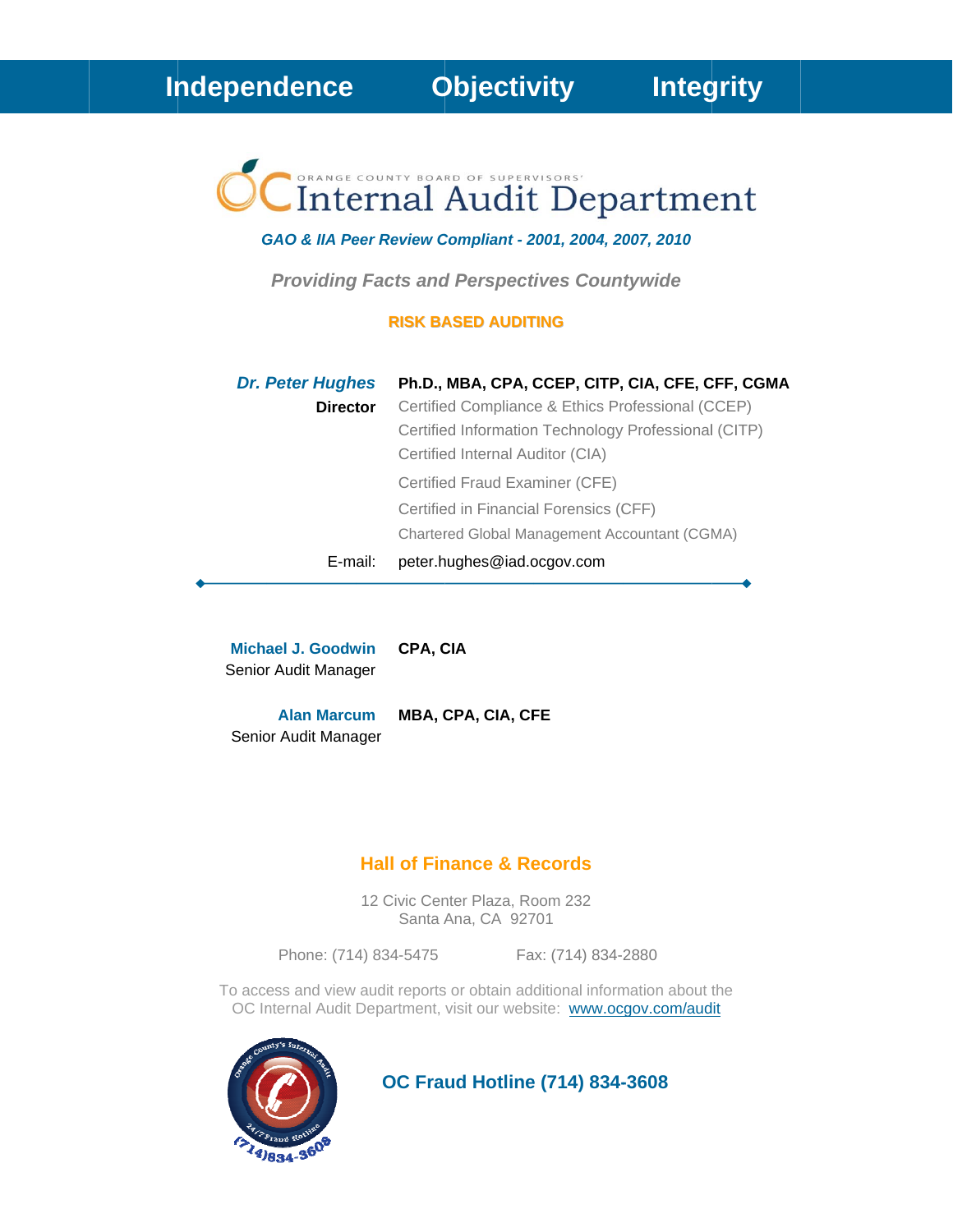# Internal Audit Department

GAO & IIA Peer Review Compliant - 2001, 2004, 2007, 2010

**Providing Facts and Perspectives Countywide** 

## **RISK BASED AUDITING**

| <b>Dr. Peter Hughes</b> | Ph.D., MBA, CPA, CCEP, CITP, CIA, CFE, CFF, CGMA     |
|-------------------------|------------------------------------------------------|
| <b>Director</b>         | Certified Compliance & Ethics Professional (CCEP)    |
|                         | Certified Information Technology Professional (CITP) |
|                         | Certified Internal Auditor (CIA)                     |
|                         | Certified Fraud Examiner (CFE)                       |
|                         | Certified in Financial Forensics (CFF)               |
|                         | Chartered Global Management Accountant (CGMA)        |
| E-mail:                 | peter.hughes@iad.ocgov.com                           |

**Michael J. Goodwin** CPA, CIA Senior Audit Manager

**Alan Marcum** MBA, CPA, CIA, CFE Senior Audit Manager

# **Hall of Finance & Records**

12 Civic Center Plaza, Room 232 Santa Ana, CA 92701

Phone: (714) 834-5475

Fax: (714) 834-2880

To access and view audit reports or obtain additional information about the OC Internal Audit Department, visit our website: www.ocgov.com/audit



**OC Fraud Hotline (714) 834-3608**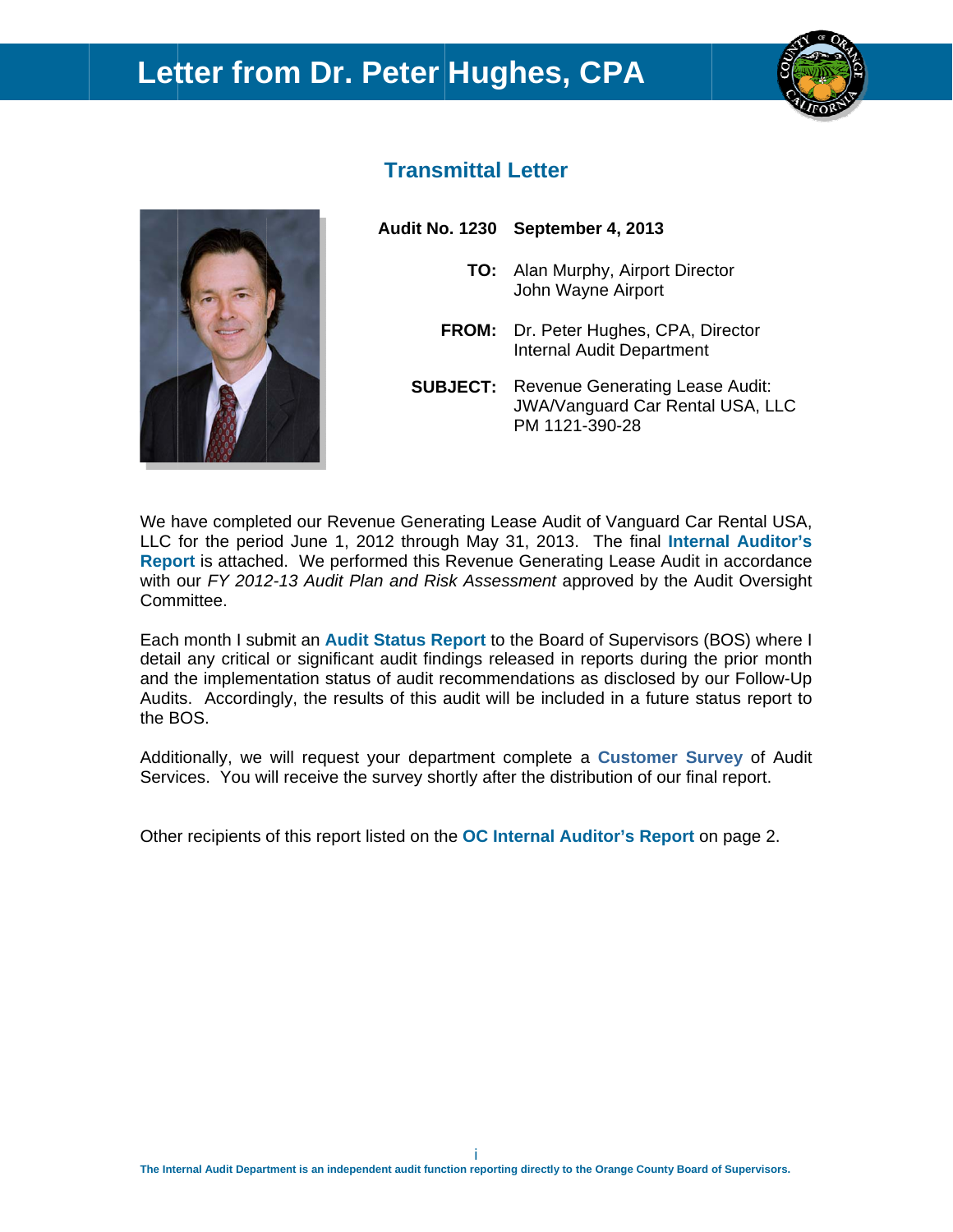# Letter from Dr. Peter Hughes, CPA





# **Transmittal Letter**

Audit No. 1230 September 4, 2013

- TO: Alan Murphy, Airport Director John Wayne Airport
- FROM: Dr. Peter Hughes, CPA, Director Internal Audit Department
- **SUBJECT:** Revenue Generating Lease Audit: **JWA/Vanguard Car Rental USA, LLC** PM 1121-390-28

We have completed our Revenue Generating Lease Audit of Vanguard Car Rental USA, LLC for the period June 1, 2012 through May 31, 2013. The final Internal Auditor's Report is attached. We performed this Revenue Generating Lease Audit in accordance with our FY 2012-13 Audit Plan and Risk Assessment approved by the Audit Oversight Committee.

Each month I submit an Audit Status Report to the Board of Supervisors (BOS) where I detail any critical or significant audit findings released in reports during the prior month and the implementation status of audit recommendations as disclosed by our Follow-Up Audits. Accordingly, the results of this audit will be included in a future status report to the BOS.

Additionally, we will request your department complete a Customer Survey of Audit Services. You will receive the survey shortly after the distribution of our final report.

Other recipients of this report listed on the OC Internal Auditor's Report on page 2.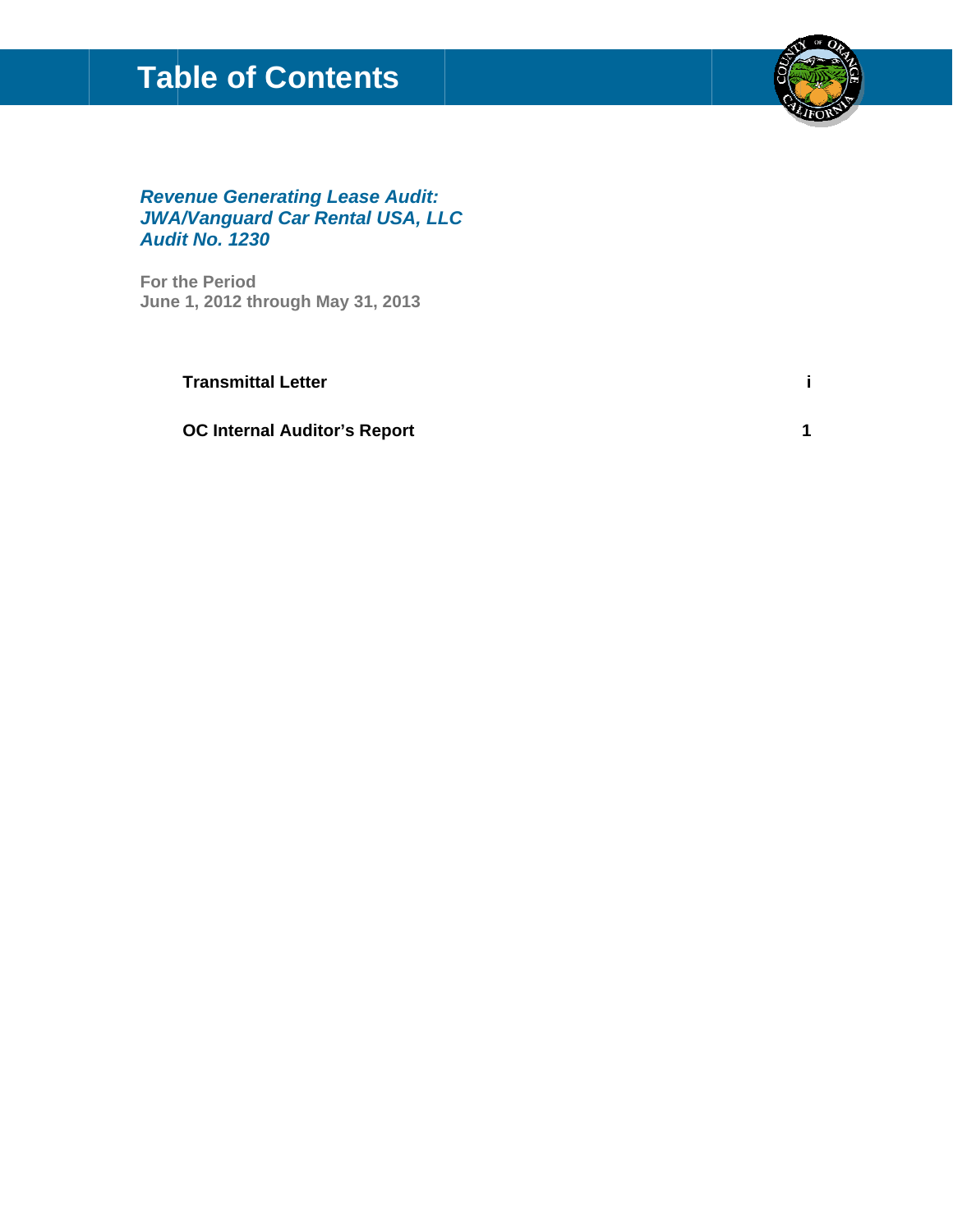# **Table of Contents**



# **Revenue Generating Lease Audit: JWA/Vanguard Car Rental USA, LLC Audit No. 1230**

For the Period June 1, 2012 through May 31, 2013

**Transmittal Letter** 

**OC Internal Auditor's Report** 

j.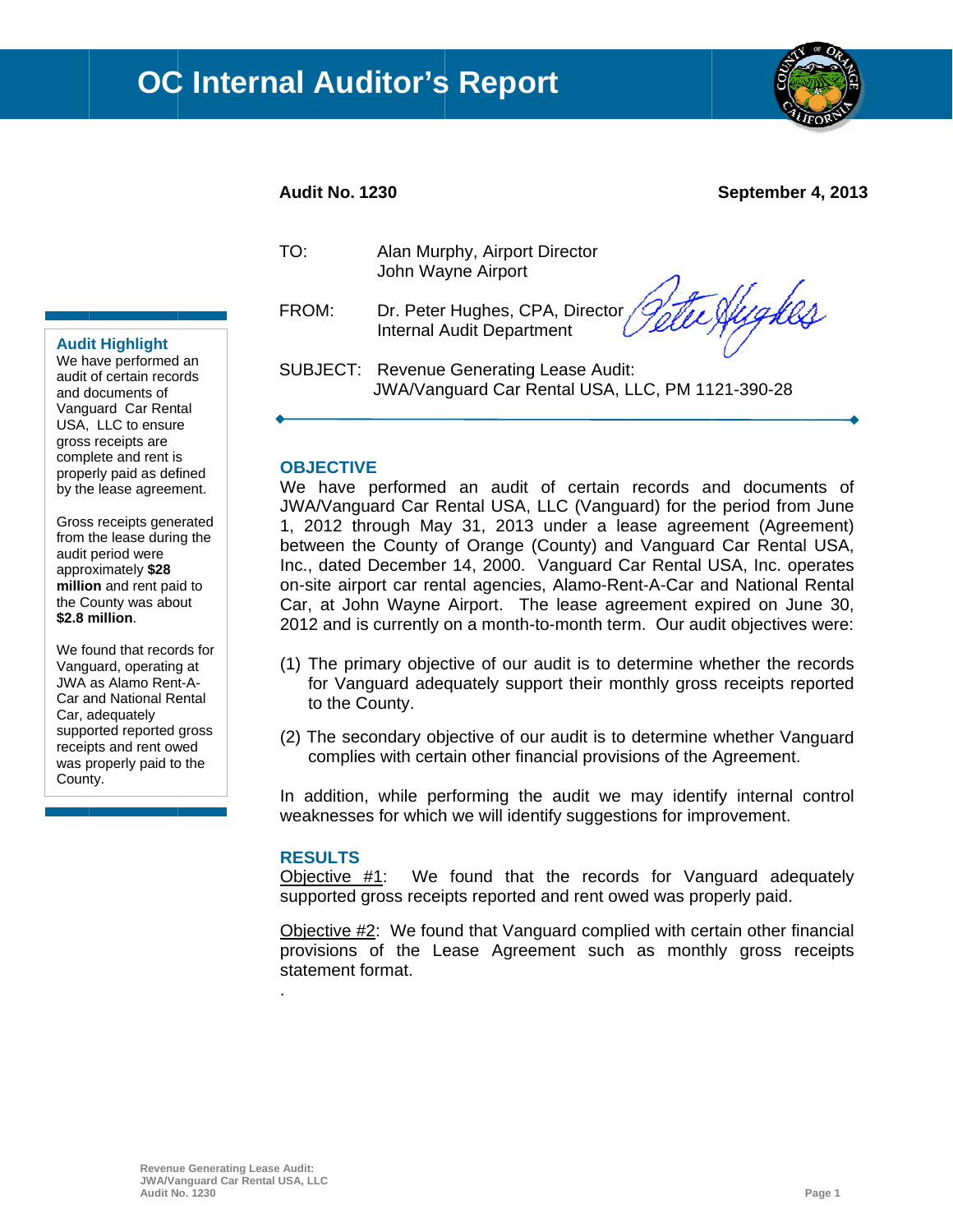

# **Audit No. 1230**

**Septembe r 4, 2013** 

TO:

Alan Murphy, Airport Director John Wa yne Airport

FROM: FROM: Dr. Peter Hughes, CPA, Director<br>Internal Audit Department<br>SUBJECT: Revenue Generating Lease Audit: Dr. Peter Hughes, CPA, Director Internal Audit Department

Te Hughes

JWA/Van guard Car R Rental USA, LLC, PM 11 21-390-28

## **OBJECTIVE**

We have performed an audit of certain records and documents of JWA/Vanguard Car Rental USA, LLC (Vanguard) for the period from June 1, 2012 through May 31, 2013 under a lease agreement (Agreement) between the County of Orange (County) and Vanguard Car Rental USA, Inc., dated December 14, 2000. Vanguard Car Rental USA, Inc. operates on-site airport car rental agencies, Alamo-Rent-A-Car and National Rental Car, at John Wayne Airport. The lease agreement expired on June 30, 2012 and is currently on a month-to-month term. Our audit objectives were:

- (1) The primary objective of our audit is to determine whether the records for Vanguard adequately support their monthly gross receipts reported to the County.
- (2) The secondary objective of our audit is to determine whether Vanguard complies with certain other financial provisions of the Agreement.

In addition, while performing the audit we may identify internal control weaknesses for which we will identify suggestions for improvement.

#### **RESULTS S**

.

Objective #1: supported gross receipts reported and rent owed was properly paid.  $#1$ : We found that the records for Vanguard adequately

Objective #2: We found that Vanguard complied with certain other financial provisions of the Lease Agreement such as monthly gross receipts statement format.

## **Audit Highlight**

We h ave performed d an audit of certain records and d documents of Vanguard Car Rental USA, LLC to ensure gross s receipts are comp plete and rent is USA, LLC to ensure<br>gross receipts are<br>complete and rent is<br>properly paid as defined by the lease agreement.

Gross receipts generated from the lease during the audit period were appro oximately **\$28**  million and rent paid to the County was about **\$2.8 m million**.

We found that records for Vang uard, operating g at JWA as Alamo Ren t-A-Car and National Rental Car, a adequately supported reported gross receipts and rent owed was properly paid to the County.